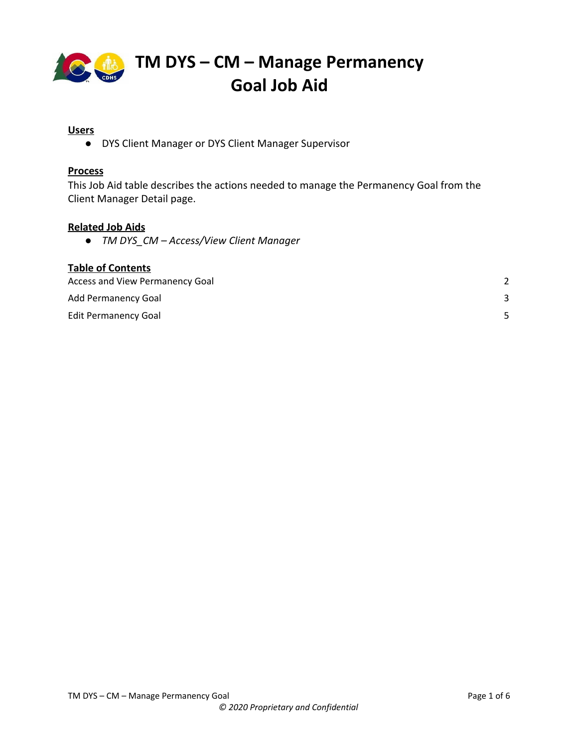

#### **Users**

● DYS Client Manager or DYS Client Manager Supervisor

### **Process**

This Job Aid table describes the actions needed to manage the Permanency Goal from the Client Manager Detail page.

#### **Related Job Aids**

*● TM DYS\_CM – Access/View Client Manager*

| <b>Table of Contents</b>        |  |
|---------------------------------|--|
| Access and View Permanency Goal |  |
| <b>Add Permanency Goal</b>      |  |
| <b>Edit Permanency Goal</b>     |  |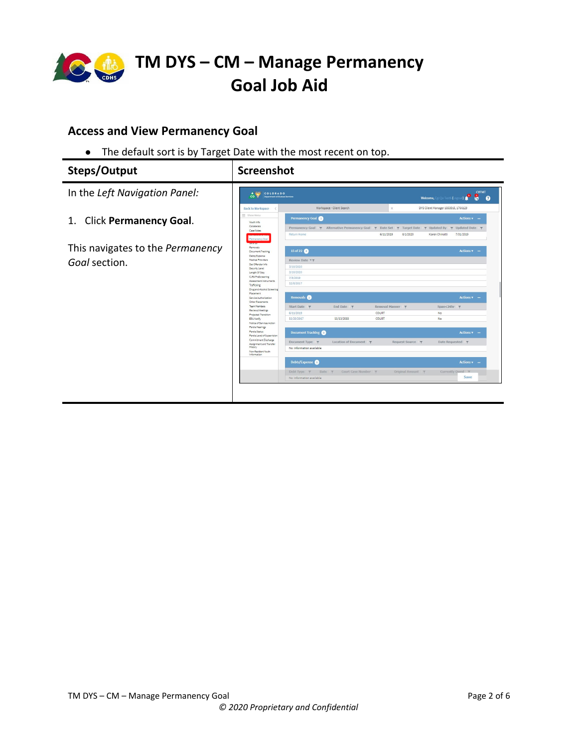

### <span id="page-1-0"></span>**Access and View Permanency Goal**

● The default sort is by Target Date with the most recent on top.

| Steps/Output                                      | <b>Screenshot</b>                                                                                                                                                                                                                                                                                                                                                                                                                                                                                                                                                                                                                                                                      |
|---------------------------------------------------|----------------------------------------------------------------------------------------------------------------------------------------------------------------------------------------------------------------------------------------------------------------------------------------------------------------------------------------------------------------------------------------------------------------------------------------------------------------------------------------------------------------------------------------------------------------------------------------------------------------------------------------------------------------------------------------|
| In the Left Navigation Panel:                     | <b>CYFMT</b><br>A CONS COLORADO<br>., P<br>B<br><b>Department of Human Services</b><br>$\cos \theta$<br>$\boldsymbol{\Omega}$<br>Welcome, Cgi Qa Test5 (Logo                                                                                                                                                                                                                                                                                                                                                                                                                                                                                                                           |
| 1. Click Permanency Goal.                         | Workspace - Client Search<br>DYS Client Manager 1853915, 1766129<br>$\times$<br><b>Back to Workspace</b><br>= Show Menu<br>Permanency Goal<br>$Actions$ $\bullet$ $-$<br>Youth Info<br>Collaberals<br>Permanency Goal T Alternative Permanency Goal T Date Set T Target Date T Updated By T Updated Date T<br>Case Notes<br>Return Home<br>6/11/2019<br>8/1/2020<br>Karen Chinatti<br>7/31/2019<br>Permanency Goa                                                                                                                                                                                                                                                                      |
| This navigates to the Permanency<br>Goal section. | 1170020<br>Removals<br>15 of 22<br>$Actions$ $\ast$ -<br>Document Tracking<br>Debts/Expense<br>Medical Providers<br>Review Date <b>v</b> T<br>Sex Offender Info<br>3/10/2020<br>Security Level<br>3/10/2020<br>Length Of Stay<br>CJRA PreScreening<br>7/8/2019<br>Assessment Instruments<br>12/8/2017<br>Trafficking<br>Drug and Alcohol Screening<br>Placement                                                                                                                                                                                                                                                                                                                        |
|                                                   | Removals @<br>Actions v –<br>Service Authorization<br>Other Placements<br>Team Members<br>Removal Manner 7<br>Start Date Y<br>End Date $\P$<br>Span<24hr ▼<br>Reviews/Meetings<br>6/11/2019<br>COURT<br>No<br>Projected Transition<br>11/20/2017<br>11/13/2018<br>COURT<br>No<br>EDU Notify<br>Notice of Services Action<br>Parole Hearings<br>Parole Status<br><b>Document Tracking</b><br>$Actions$ =<br>Parole Level of Supervision<br>Commitment Discharge<br>Document Type <b>T</b><br>Location of Document <b>T</b><br>Request Source <b>T</b><br>Date Requested <b>Y</b><br>Assignment and Transfer<br>History<br>No information available<br>Non-Resident Youth<br>Information |
|                                                   | Debts/Expense<br>Actions v -<br>Court Case Number Y<br>Original Amount<br>Currently Owed \<br>Debt Type $\tau$ Date $\tau$<br>Save<br>No information available                                                                                                                                                                                                                                                                                                                                                                                                                                                                                                                         |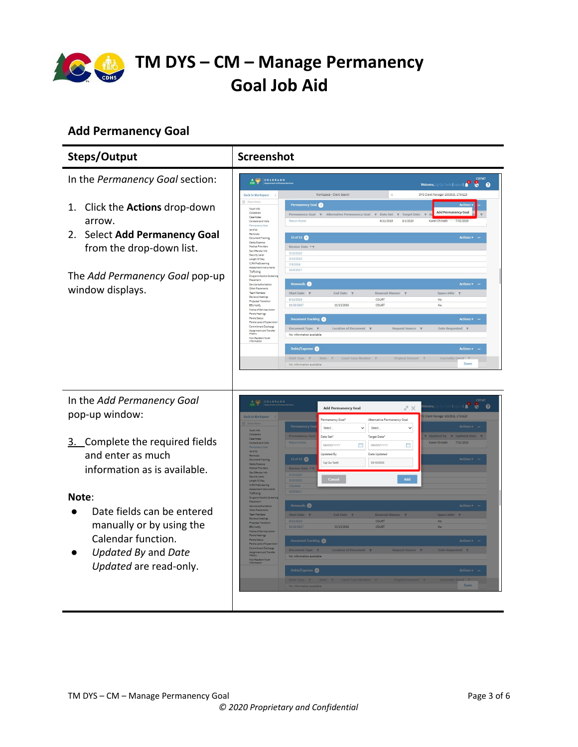

## <span id="page-2-0"></span>**Add Permanency Goal**

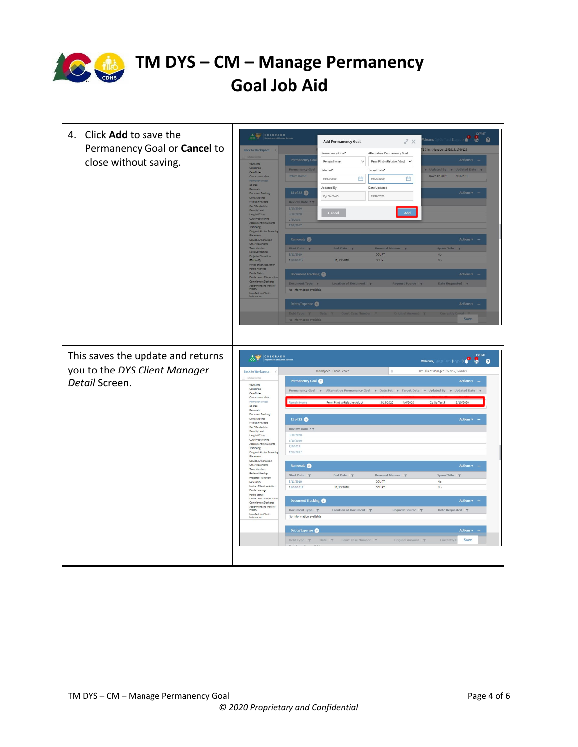

| 4. Click Add to save the          | $\frac{4}{100}$ $\frac{60}{100}$ $\frac{1}{100}$ $\frac{1}{100}$ $\frac{1}{100}$                                                                                      |                                                | <b>Add Permanency Goal</b>                      | $X^{\mathbb{Z}}$                                            | CYFMT<br>.                                                                                         |
|-----------------------------------|-----------------------------------------------------------------------------------------------------------------------------------------------------------------------|------------------------------------------------|-------------------------------------------------|-------------------------------------------------------------|----------------------------------------------------------------------------------------------------|
| Permanency Goal or Cancel to      | <b>Back to Workspace</b>                                                                                                                                              |                                                |                                                 |                                                             | Client Manager 1853915, 1766129                                                                    |
|                                   |                                                                                                                                                                       | Permanency Go                                  | Permanency Goal*<br>Remain Home<br>$\checkmark$ | Alternative Permanency Goal<br>Perm Plmt w/Relative-Adopt V | Actions v                                                                                          |
| close without saving.             | Youth Info<br>Colleterals                                                                                                                                             | <b>Permanency Goa</b>                          | Date Set*                                       | Target Date*                                                | Vpdated By T Updated Date T                                                                        |
|                                   | Case Notes<br>Contacts and Malts                                                                                                                                      | <b>Return Home</b>                             | 曲<br>03/13/2020                                 | 白<br>04/06/2020                                             | Karen Chinatti<br>7/31/2019                                                                        |
|                                   | 15 of 22<br>Removals                                                                                                                                                  |                                                | Updated By                                      | Date Updated                                                |                                                                                                    |
|                                   | <b>Document Tracking</b><br>Debts/Expense                                                                                                                             | 15 of 22                                       | Cgi Qa Test5                                    | 03/10/2020                                                  | Actions v                                                                                          |
|                                   | Medical Providers<br>Sex Offender Info                                                                                                                                | Review Date <b>**</b>                          |                                                 |                                                             |                                                                                                    |
|                                   | Security Level<br>Length Of Stay                                                                                                                                      | 3/10/2020<br>3/10/2020                         | Cancel                                          | Add                                                         |                                                                                                    |
|                                   | CJRA PreScreening<br>Assessment Instri                                                                                                                                | 7/8/2019<br>12/8/2017                          |                                                 |                                                             |                                                                                                    |
|                                   | Trafficking<br><b>Drug and Alcohol S</b><br>Placement                                                                                                                 |                                                |                                                 |                                                             |                                                                                                    |
|                                   | Service Authorizati<br>Other Placements                                                                                                                               | Removals <sup>2</sup>                          |                                                 |                                                             | <b>Actions</b>                                                                                     |
|                                   | Team Members<br>Reviews/Meetings                                                                                                                                      | Start Date 7                                   | End Date 7                                      |                                                             | $Span < 24hr$ $\uparrow$                                                                           |
|                                   | Projected Transition<br>EDU Notify                                                                                                                                    | 6/11/2019<br>11/20/2017                        | 11/13/2018                                      | COURT<br>COURT                                              | No<br><b>No</b>                                                                                    |
|                                   | Notice of Services A<br>Parole Hearings                                                                                                                               |                                                |                                                 |                                                             |                                                                                                    |
|                                   | Parole Status<br>Parole Level of Supervi<br>Commitment Discharge                                                                                                      | Document Tracking                              |                                                 |                                                             | <b>Actions</b>                                                                                     |
|                                   | Assignment and Transfer<br>History                                                                                                                                    | Document Type Y<br>No information available    | ocation of Docu                                 |                                                             | Date Requested <b>T</b>                                                                            |
|                                   | Non-Resident Youth                                                                                                                                                    |                                                |                                                 |                                                             |                                                                                                    |
|                                   |                                                                                                                                                                       | Debts/Expense                                  |                                                 |                                                             | Actions v                                                                                          |
|                                   |                                                                                                                                                                       | Debt Type<br>No information available          |                                                 |                                                             | Save                                                                                               |
|                                   |                                                                                                                                                                       |                                                |                                                 |                                                             |                                                                                                    |
|                                   |                                                                                                                                                                       |                                                |                                                 |                                                             |                                                                                                    |
|                                   |                                                                                                                                                                       |                                                |                                                 |                                                             | <b>CYFMT</b>                                                                                       |
| This saves the update and returns | $\begin{array}{c c c c c} \hline \textbf{A} & \textbf{0} & \textbf{0} \\ \hline \textbf{CO} & \textbf{V} & \textbf{0} \\ \hline \textbf{CO} & \textbf{0} \end{array}$ |                                                |                                                 |                                                             | LO<br>$\bullet$ $\bullet$<br>Welcome, Cgi Qa Test5 (Li                                             |
| you to the DYS Client Manager     | <b>Back to Workspace</b><br>Show Menu                                                                                                                                 |                                                | Workspace - Client Search                       | $\times$                                                    | DYS Client Manager 1853915, 1766129                                                                |
| Detail Screen.                    | Youth Info                                                                                                                                                            | Permanency Goal                                |                                                 |                                                             | Actions $\bullet$ -                                                                                |
|                                   | Collaterals<br>Case Notes<br>Contacts and Visits                                                                                                                      |                                                |                                                 |                                                             | Permanency Goal T Alternative Permanency Goal T Date Set T Target Date T Updated By T Updated Date |
|                                   | Permanency Goal<br>15 of 22                                                                                                                                           |                                                | Perm Plmt w/Relative-Adopt                      | 3/13/2020<br>4/6/2020                                       | Cgi Qa Test5<br>3/10/2020                                                                          |
|                                   | Removals<br>Document Tracking                                                                                                                                         |                                                |                                                 |                                                             |                                                                                                    |
|                                   | Debts/Expense<br>Medical Providers                                                                                                                                    | 15 of 22                                       |                                                 |                                                             | <b>Actions</b>                                                                                     |
|                                   | Sex Offender Info<br>Security Level<br>Length Of Stay                                                                                                                 | Review Date <b>TY</b>                          |                                                 |                                                             |                                                                                                    |
|                                   | CJRA PreScreening                                                                                                                                                     | 3/10/2020<br>3/10/2020                         |                                                 |                                                             |                                                                                                    |
|                                   | Assessment Instrume<br>Trafficking<br>Drug and Alcohol Scree                                                                                                          | 7/8/2019<br>12/8/2017                          |                                                 |                                                             |                                                                                                    |
|                                   | Placement<br>Service Authorization                                                                                                                                    |                                                |                                                 |                                                             |                                                                                                    |
|                                   | Other Placements<br>Team Members                                                                                                                                      | Removals <sup>2</sup>                          |                                                 |                                                             | Actions $\sqrt{ }$ –                                                                               |
|                                   | Reviews/Meetings<br>Projected Transition<br><b>EDU Notify</b>                                                                                                         | Start Date<br>6/11/2019                        | End Date $\tau$                                 | Removal Manner<br>$\overline{\mathbf{r}}$<br>COURT          | Span < 24hr<br>No                                                                                  |
|                                   | Notice of Services Actio<br>Parole Hearings                                                                                                                           | 11/20/2017                                     | 11/13/2018                                      | COURT                                                       | No                                                                                                 |
|                                   | Parole Status<br>Parole Level of Supervisio                                                                                                                           |                                                |                                                 |                                                             |                                                                                                    |
|                                   | Commitment Discharge                                                                                                                                                  | Document Tracking                              |                                                 |                                                             | Actions <b>v</b> –                                                                                 |
|                                   | Assignment and Transfer<br>History<br>Non-Resident Youth<br>Information                                                                                               | Document Type $\P$<br>No information available | Location of Document \\                         | Request Source T                                            | Date Requested <b>Y</b>                                                                            |
|                                   |                                                                                                                                                                       |                                                |                                                 |                                                             |                                                                                                    |
|                                   |                                                                                                                                                                       | Debts/Expense                                  |                                                 |                                                             | <b>Actions v</b>                                                                                   |
|                                   |                                                                                                                                                                       | Debt Type $\top$                               | Date <b>T</b><br>Court Case Number 7            | Original Amount                                             | Save<br>Currently O                                                                                |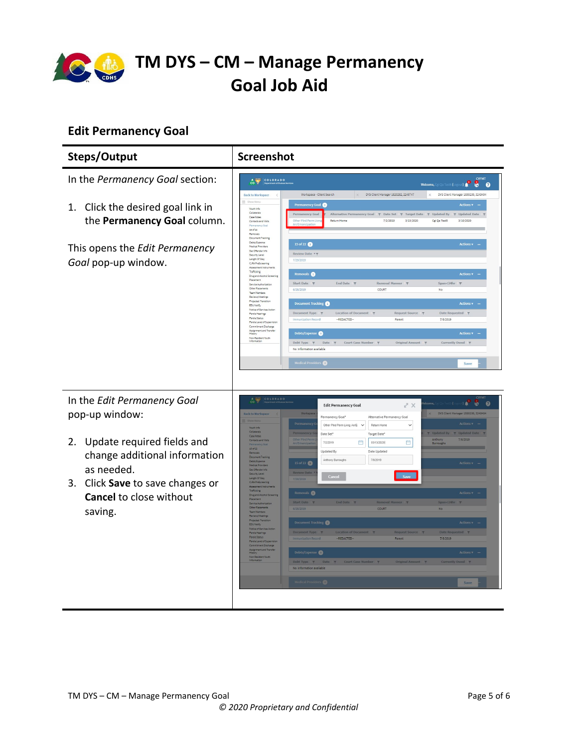

## <span id="page-4-0"></span>**Edit Permanency Goal**